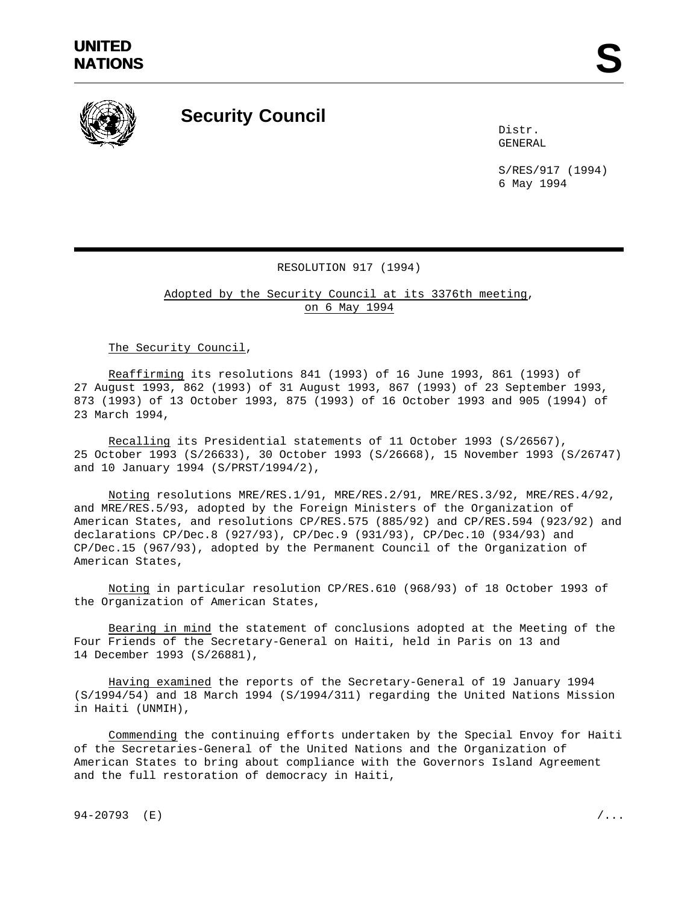

## **Security Council**

Distr. GENERAL

S/RES/917 (1994) 6 May 1994

## RESOLUTION 917 (1994)

Adopted by the Security Council at its 3376th meeting, on 6 May 1994

The Security Council,

Reaffirming its resolutions 841 (1993) of 16 June 1993, 861 (1993) of 27 August 1993, 862 (1993) of 31 August 1993, 867 (1993) of 23 September 1993, 873 (1993) of 13 October 1993, 875 (1993) of 16 October 1993 and 905 (1994) of 23 March 1994,

Recalling its Presidential statements of 11 October 1993 (S/26567), 25 October 1993 (S/26633), 30 October 1993 (S/26668), 15 November 1993 (S/26747) and 10 January 1994 (S/PRST/1994/2),

Noting resolutions MRE/RES.1/91, MRE/RES.2/91, MRE/RES.3/92, MRE/RES.4/92, and MRE/RES.5/93, adopted by the Foreign Ministers of the Organization of American States, and resolutions CP/RES.575 (885/92) and CP/RES.594 (923/92) and declarations CP/Dec.8 (927/93), CP/Dec.9 (931/93), CP/Dec.10 (934/93) and CP/Dec.15 (967/93), adopted by the Permanent Council of the Organization of American States,

Noting in particular resolution CP/RES.610 (968/93) of 18 October 1993 of the Organization of American States,

Bearing in mind the statement of conclusions adopted at the Meeting of the Four Friends of the Secretary-General on Haiti, held in Paris on 13 and 14 December 1993 (S/26881),

Having examined the reports of the Secretary-General of 19 January 1994 (S/1994/54) and 18 March 1994 (S/1994/311) regarding the United Nations Mission in Haiti (UNMIH),

Commending the continuing efforts undertaken by the Special Envoy for Haiti of the Secretaries-General of the United Nations and the Organization of American States to bring about compliance with the Governors Island Agreement and the full restoration of democracy in Haiti,

94-20793 (E)  $/$ ...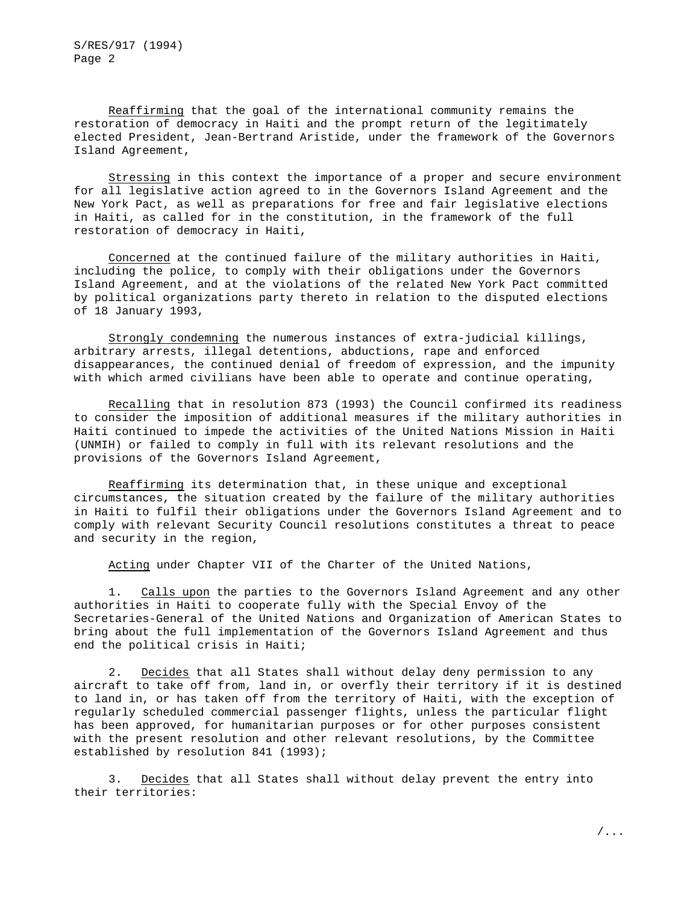Reaffirming that the goal of the international community remains the restoration of democracy in Haiti and the prompt return of the legitimately elected President, Jean-Bertrand Aristide, under the framework of the Governors Island Agreement,

Stressing in this context the importance of a proper and secure environment for all legislative action agreed to in the Governors Island Agreement and the New York Pact, as well as preparations for free and fair legislative elections in Haiti, as called for in the constitution, in the framework of the full restoration of democracy in Haiti,

Concerned at the continued failure of the military authorities in Haiti, including the police, to comply with their obligations under the Governors Island Agreement, and at the violations of the related New York Pact committed by political organizations party thereto in relation to the disputed elections of 18 January 1993,

Strongly condemning the numerous instances of extra-judicial killings, arbitrary arrests, illegal detentions, abductions, rape and enforced disappearances, the continued denial of freedom of expression, and the impunity with which armed civilians have been able to operate and continue operating,

Recalling that in resolution 873 (1993) the Council confirmed its readiness to consider the imposition of additional measures if the military authorities in Haiti continued to impede the activities of the United Nations Mission in Haiti (UNMIH) or failed to comply in full with its relevant resolutions and the provisions of the Governors Island Agreement,

Reaffirming its determination that, in these unique and exceptional circumstances, the situation created by the failure of the military authorities in Haiti to fulfil their obligations under the Governors Island Agreement and to comply with relevant Security Council resolutions constitutes a threat to peace and security in the region,

Acting under Chapter VII of the Charter of the United Nations,

1. Calls upon the parties to the Governors Island Agreement and any other authorities in Haiti to cooperate fully with the Special Envoy of the Secretaries-General of the United Nations and Organization of American States to bring about the full implementation of the Governors Island Agreement and thus end the political crisis in Haiti;

2. Decides that all States shall without delay deny permission to any aircraft to take off from, land in, or overfly their territory if it is destined to land in, or has taken off from the territory of Haiti, with the exception of regularly scheduled commercial passenger flights, unless the particular flight has been approved, for humanitarian purposes or for other purposes consistent with the present resolution and other relevant resolutions, by the Committee established by resolution 841 (1993);

3. Decides that all States shall without delay prevent the entry into their territories: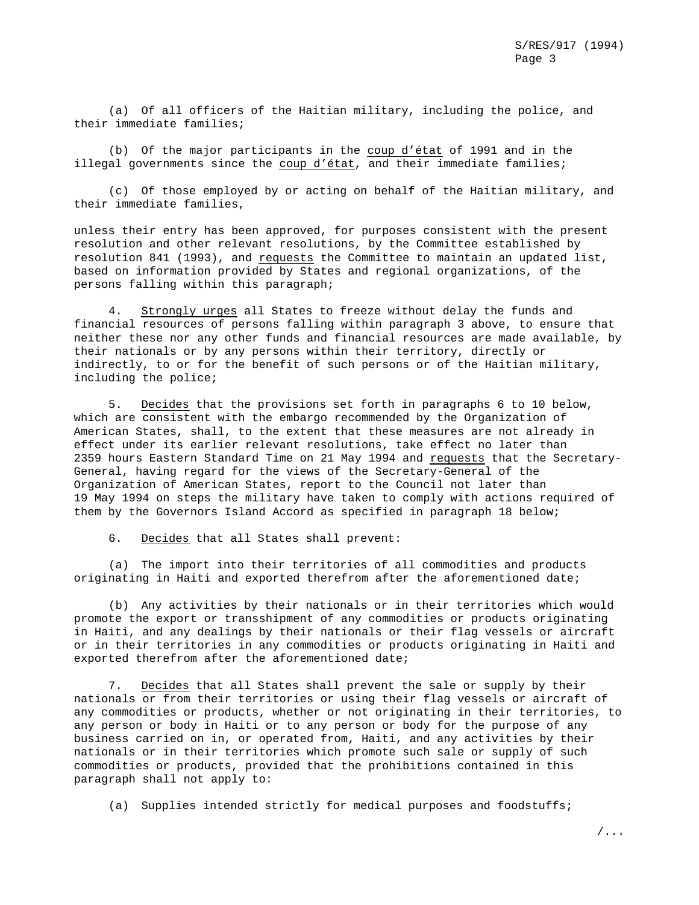(a) Of all officers of the Haitian military, including the police, and their immediate families;

(b) Of the major participants in the coup d'état of 1991 and in the illegal governments since the coup d'état, and their immediate families;

(c) Of those employed by or acting on behalf of the Haitian military, and their immediate families,

unless their entry has been approved, for purposes consistent with the present resolution and other relevant resolutions, by the Committee established by resolution 841 (1993), and requests the Committee to maintain an updated list, based on information provided by States and regional organizations, of the persons falling within this paragraph;

4. Strongly urges all States to freeze without delay the funds and financial resources of persons falling within paragraph 3 above, to ensure that neither these nor any other funds and financial resources are made available, by their nationals or by any persons within their territory, directly or indirectly, to or for the benefit of such persons or of the Haitian military, including the police;

5. Decides that the provisions set forth in paragraphs 6 to 10 below, which are consistent with the embargo recommended by the Organization of American States, shall, to the extent that these measures are not already in effect under its earlier relevant resolutions, take effect no later than 2359 hours Eastern Standard Time on 21 May 1994 and requests that the Secretary-General, having regard for the views of the Secretary-General of the Organization of American States, report to the Council not later than 19 May 1994 on steps the military have taken to comply with actions required of them by the Governors Island Accord as specified in paragraph 18 below;

6. Decides that all States shall prevent:

(a) The import into their territories of all commodities and products originating in Haiti and exported therefrom after the aforementioned date;

(b) Any activities by their nationals or in their territories which would promote the export or transshipment of any commodities or products originating in Haiti, and any dealings by their nationals or their flag vessels or aircraft or in their territories in any commodities or products originating in Haiti and exported therefrom after the aforementioned date;

7. Decides that all States shall prevent the sale or supply by their nationals or from their territories or using their flag vessels or aircraft of any commodities or products, whether or not originating in their territories, to any person or body in Haiti or to any person or body for the purpose of any business carried on in, or operated from, Haiti, and any activities by their nationals or in their territories which promote such sale or supply of such commodities or products, provided that the prohibitions contained in this paragraph shall not apply to:

(a) Supplies intended strictly for medical purposes and foodstuffs;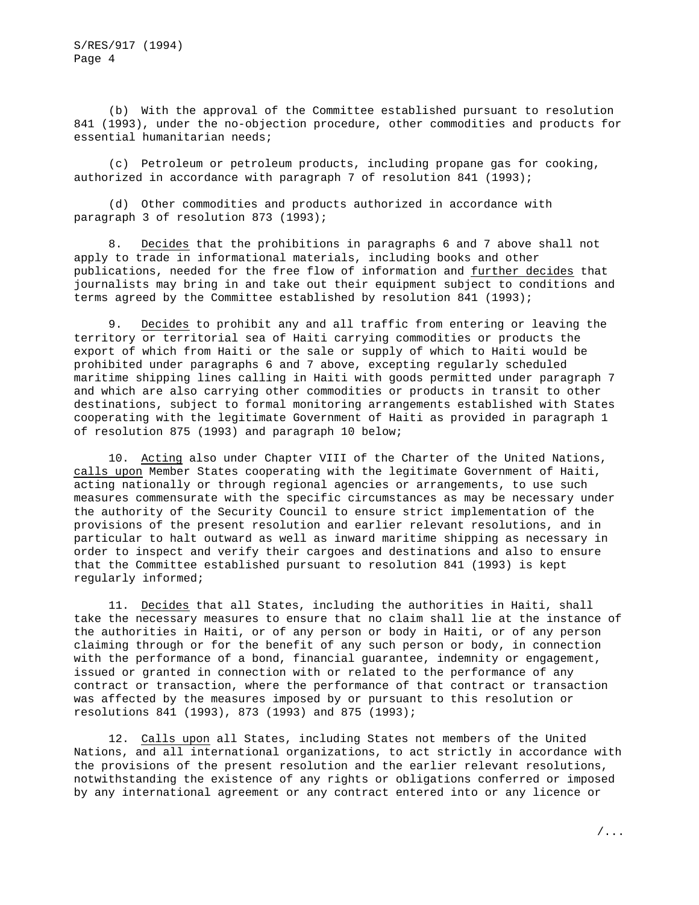(b) With the approval of the Committee established pursuant to resolution 841 (1993), under the no-objection procedure, other commodities and products for essential humanitarian needs;

(c) Petroleum or petroleum products, including propane gas for cooking, authorized in accordance with paragraph 7 of resolution 841 (1993);

(d) Other commodities and products authorized in accordance with paragraph 3 of resolution 873 (1993);

8. Decides that the prohibitions in paragraphs 6 and 7 above shall not apply to trade in informational materials, including books and other publications, needed for the free flow of information and further decides that journalists may bring in and take out their equipment subject to conditions and terms agreed by the Committee established by resolution 841 (1993);

9. Decides to prohibit any and all traffic from entering or leaving the territory or territorial sea of Haiti carrying commodities or products the export of which from Haiti or the sale or supply of which to Haiti would be prohibited under paragraphs 6 and 7 above, excepting regularly scheduled maritime shipping lines calling in Haiti with goods permitted under paragraph 7 and which are also carrying other commodities or products in transit to other destinations, subject to formal monitoring arrangements established with States cooperating with the legitimate Government of Haiti as provided in paragraph 1 of resolution 875 (1993) and paragraph 10 below;

10. Acting also under Chapter VIII of the Charter of the United Nations, calls upon Member States cooperating with the legitimate Government of Haiti, acting nationally or through regional agencies or arrangements, to use such measures commensurate with the specific circumstances as may be necessary under the authority of the Security Council to ensure strict implementation of the provisions of the present resolution and earlier relevant resolutions, and in particular to halt outward as well as inward maritime shipping as necessary in order to inspect and verify their cargoes and destinations and also to ensure that the Committee established pursuant to resolution 841 (1993) is kept regularly informed;

11. Decides that all States, including the authorities in Haiti, shall take the necessary measures to ensure that no claim shall lie at the instance of the authorities in Haiti, or of any person or body in Haiti, or of any person claiming through or for the benefit of any such person or body, in connection with the performance of a bond, financial guarantee, indemnity or engagement, issued or granted in connection with or related to the performance of any contract or transaction, where the performance of that contract or transaction was affected by the measures imposed by or pursuant to this resolution or resolutions 841 (1993), 873 (1993) and 875 (1993);

12. Calls upon all States, including States not members of the United Nations, and all international organizations, to act strictly in accordance with the provisions of the present resolution and the earlier relevant resolutions, notwithstanding the existence of any rights or obligations conferred or imposed by any international agreement or any contract entered into or any licence or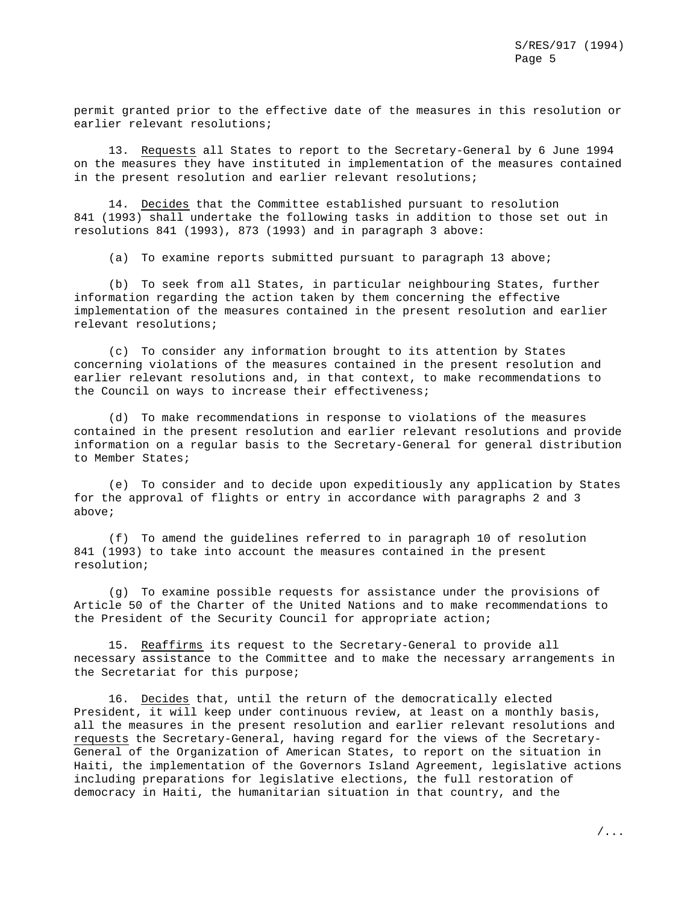permit granted prior to the effective date of the measures in this resolution or earlier relevant resolutions;

13. Requests all States to report to the Secretary-General by 6 June 1994 on the measures they have instituted in implementation of the measures contained in the present resolution and earlier relevant resolutions;

14. Decides that the Committee established pursuant to resolution 841 (1993) shall undertake the following tasks in addition to those set out in resolutions 841 (1993), 873 (1993) and in paragraph 3 above:

(a) To examine reports submitted pursuant to paragraph 13 above;

(b) To seek from all States, in particular neighbouring States, further information regarding the action taken by them concerning the effective implementation of the measures contained in the present resolution and earlier relevant resolutions;

(c) To consider any information brought to its attention by States concerning violations of the measures contained in the present resolution and earlier relevant resolutions and, in that context, to make recommendations to the Council on ways to increase their effectiveness;

(d) To make recommendations in response to violations of the measures contained in the present resolution and earlier relevant resolutions and provide information on a regular basis to the Secretary-General for general distribution to Member States;

(e) To consider and to decide upon expeditiously any application by States for the approval of flights or entry in accordance with paragraphs 2 and 3 above;

(f) To amend the guidelines referred to in paragraph 10 of resolution 841 (1993) to take into account the measures contained in the present resolution;

(g) To examine possible requests for assistance under the provisions of Article 50 of the Charter of the United Nations and to make recommendations to the President of the Security Council for appropriate action;

15. Reaffirms its request to the Secretary-General to provide all necessary assistance to the Committee and to make the necessary arrangements in the Secretariat for this purpose;

16. Decides that, until the return of the democratically elected President, it will keep under continuous review, at least on a monthly basis, all the measures in the present resolution and earlier relevant resolutions and requests the Secretary-General, having regard for the views of the Secretary-General of the Organization of American States, to report on the situation in Haiti, the implementation of the Governors Island Agreement, legislative actions including preparations for legislative elections, the full restoration of democracy in Haiti, the humanitarian situation in that country, and the